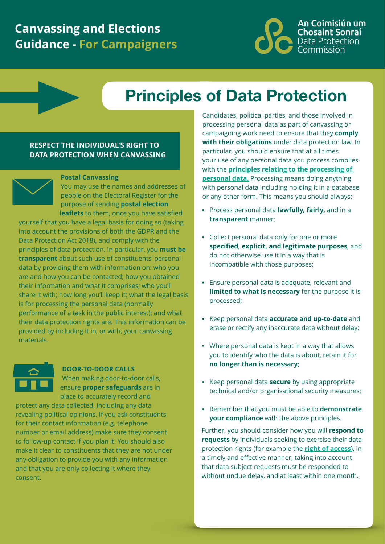# **Canvassing and Elections Guidance - For Campaigners**



# **Principles of Data Protection**

# **RESPECT THE INDIVIDUAL'S RIGHT TO DATA PROTECTION WHEN CANVASSING**



# **Postal Canvassing**

You may use the names and addresses of people on the Electoral Register for the purpose of sending **postal election leaflets** to them, once you have satisfied

yourself that you have a legal basis for doing so (taking into account the provisions of both the GDPR and the Data Protection Act 2018), and comply with the principles of data protection. In particular, you **must be transparent** about such use of constituents' personal data by providing them with information on: who you are and how you can be contacted; how you obtained their information and what it comprises; who you'll share it with; how long you'll keep it; what the legal basis is for processing the personal data (normally performance of a task in the public interest); and what their data protection rights are. This information can be provided by including it in, or with, your canvassing materials.



# **DOOR-TO-DOOR CALLS**

When making door-to-door calls, ensure **proper safeguards** are in place to accurately record and

protect any data collected, including any data revealing political opinions. If you ask constituents for their contact information (e.g. telephone number or email address) make sure they consent to follow-up contact if you plan it. You should also make it clear to constituents that they are not under any obligation to provide you with any information and that you are only collecting it where they consent.

Candidates, political parties, and those involved in processing personal data as part of canvassing or campaigning work need to ensure that they **comply with their obligations** under data protection law. In particular, you should ensure that at all times your use of any personal data you process complies with the **[principles relating to the processing of](https://www.dataprotection.ie/en/guidance-landing/guidance-principles-data-protection)  [personal data.](https://www.dataprotection.ie/en/guidance-landing/guidance-principles-data-protection)** Processing means doing anything with personal data including holding it in a database or any other form. This means you should always:

- Process personal data **lawfully, fairly,** and in a **transparent** manner;
- Collect personal data only for one or more **specified, explicit, and legitimate purposes**, and do not otherwise use it in a way that is incompatible with those purposes;
- Ensure personal data is adequate, relevant and **limited to what is necessary** for the purpose it is processed;
- Keep personal data **accurate and up-to-date** and erase or rectify any inaccurate data without delay;
- Where personal data is kept in a way that allows you to identify who the data is about, retain it for **no longer than is necessary;**
- Keep personal data **secure** by using appropriate technical and/or organisational security measures;
- Remember that you must be able to **demonstrate your compliance** with the above principles.

Further, you should consider how you will respond protection rights (for example the **[right of access](https://www.dataprotection.ie/en/guidance-landing/data-subject-access-requests-faq)**), in a timely and effective manner, taking into account a uniciy and enective manner, taking into account that data subject requests must be responded to without undue delay, and at least within one month. Further, you should consider how you will **respond to requests** by individuals seeking to exercise their data